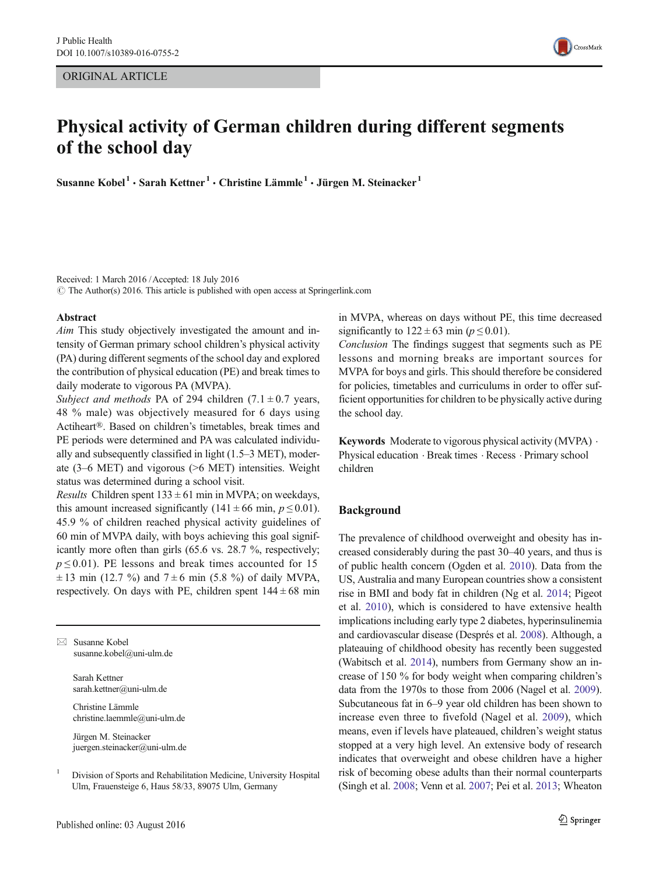ORIGINAL ARTICLE



# Physical activity of German children during different segments of the school day

Susanne Kobel<sup>1</sup> · Sarah Kettner<sup>1</sup> · Christine Lämmle<sup>1</sup> · Jürgen M. Steinacker<sup>1</sup>

Received: 1 March 2016 /Accepted: 18 July 2016  $\odot$  The Author(s) 2016. This article is published with open access at Springerlink.com

#### Abstract

Aim This study objectively investigated the amount and intensity of German primary school children's physical activity (PA) during different segments of the school day and explored the contribution of physical education (PE) and break times to daily moderate to vigorous PA (MVPA).

Subject and methods PA of 294 children  $(7.1 \pm 0.7)$  years, 48 % male) was objectively measured for 6 days using Actiheart®. Based on children's timetables, break times and PE periods were determined and PA was calculated individually and subsequently classified in light (1.5–3 MET), moderate (3–6 MET) and vigorous (>6 MET) intensities. Weight status was determined during a school visit.

*Results* Children spent  $133 \pm 61$  min in MVPA; on weekdays, this amount increased significantly (141  $\pm$  66 min,  $p \le 0.01$ ). 45.9 % of children reached physical activity guidelines of 60 min of MVPA daily, with boys achieving this goal significantly more often than girls (65.6 vs. 28.7 %, respectively;  $p \le 0.01$ ). PE lessons and break times accounted for 15  $\pm$  13 min (12.7 %) and 7 $\pm$ 6 min (5.8 %) of daily MVPA, respectively. On days with PE, children spent  $144 \pm 68$  min

 $\boxtimes$  Susanne Kobel susanne.kobel@uni-ulm.de

> Sarah Kettner sarah.kettner@uni-ulm.de

Christine Lämmle christine.laemmle@uni-ulm.de

Jürgen M. Steinacker juergen.steinacker@uni-ulm.de in MVPA, whereas on days without PE, this time decreased significantly to  $122 \pm 63$  min ( $p \le 0.01$ ).

Conclusion The findings suggest that segments such as PE lessons and morning breaks are important sources for MVPA for boys and girls. This should therefore be considered for policies, timetables and curriculums in order to offer sufficient opportunities for children to be physically active during the school day.

Keywords Moderate to vigorous physical activity (MVPA) . Physical education . Break times . Recess . Primary school children

## Background

The prevalence of childhood overweight and obesity has increased considerably during the past 30–40 years, and thus is of public health concern (Ogden et al. [2010](#page-6-0)). Data from the US, Australia and many European countries show a consistent rise in BMI and body fat in children (Ng et al. [2014;](#page-6-0) Pigeot et al. [2010](#page-6-0)), which is considered to have extensive health implications including early type 2 diabetes, hyperinsulinemia and cardiovascular disease (Després et al. [2008\)](#page-5-0). Although, a plateauing of childhood obesity has recently been suggested (Wabitsch et al. [2014\)](#page-6-0), numbers from Germany show an increase of 150 % for body weight when comparing children's data from the 1970s to those from 2006 (Nagel et al. [2009\)](#page-6-0). Subcutaneous fat in 6–9 year old children has been shown to increase even three to fivefold (Nagel et al. [2009](#page-6-0)), which means, even if levels have plateaued, children's weight status stopped at a very high level. An extensive body of research indicates that overweight and obese children have a higher risk of becoming obese adults than their normal counterparts (Singh et al. [2008](#page-6-0); Venn et al. [2007](#page-6-0); Pei et al. [2013;](#page-6-0) Wheaton

<sup>&</sup>lt;sup>1</sup> Division of Sports and Rehabilitation Medicine, University Hospital Ulm, Frauensteige 6, Haus 58/33, 89075 Ulm, Germany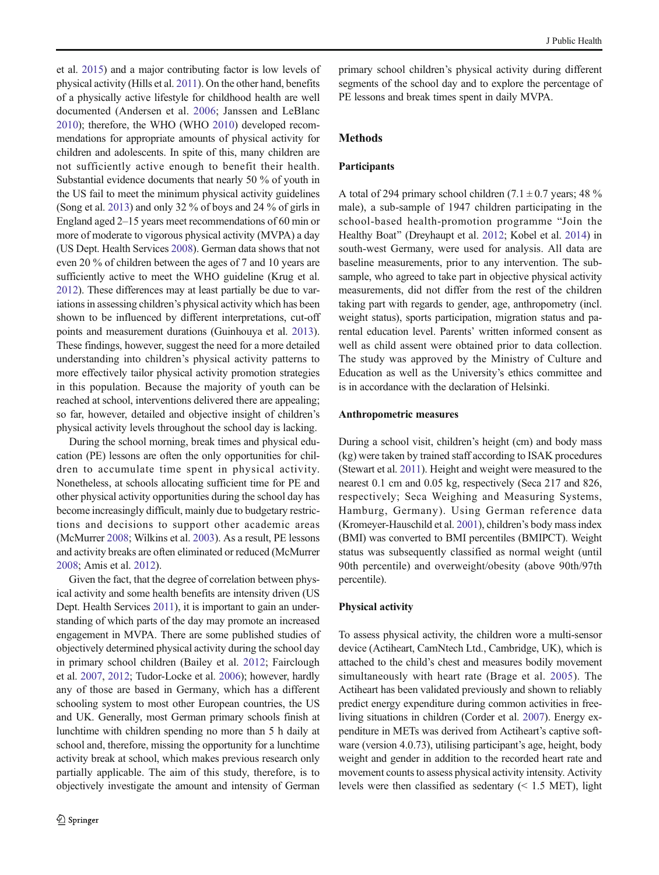et al. [2015\)](#page-6-0) and a major contributing factor is low levels of physical activity (Hills et al. [2011\)](#page-5-0). On the other hand, benefits of a physically active lifestyle for childhood health are well documented (Andersen et al. [2006](#page-5-0); Janssen and LeBlanc [2010\)](#page-5-0); therefore, the WHO (WHO [2010\)](#page-6-0) developed recommendations for appropriate amounts of physical activity for children and adolescents. In spite of this, many children are not sufficiently active enough to benefit their health. Substantial evidence documents that nearly 50 % of youth in the US fail to meet the minimum physical activity guidelines (Song et al. [2013](#page-6-0)) and only 32 % of boys and 24 % of girls in England aged 2–15 years meet recommendations of 60 min or more of moderate to vigorous physical activity (MVPA) a day (US Dept. Health Services [2008](#page-6-0)). German data shows that not even 20 % of children between the ages of 7 and 10 years are sufficiently active to meet the WHO guideline (Krug et al. [2012\)](#page-5-0). These differences may at least partially be due to variations in assessing children's physical activity which has been shown to be influenced by different interpretations, cut-off points and measurement durations (Guinhouya et al. [2013\)](#page-5-0). These findings, however, suggest the need for a more detailed understanding into children's physical activity patterns to more effectively tailor physical activity promotion strategies in this population. Because the majority of youth can be reached at school, interventions delivered there are appealing; so far, however, detailed and objective insight of children's physical activity levels throughout the school day is lacking.

During the school morning, break times and physical education (PE) lessons are often the only opportunities for children to accumulate time spent in physical activity. Nonetheless, at schools allocating sufficient time for PE and other physical activity opportunities during the school day has become increasingly difficult, mainly due to budgetary restrictions and decisions to support other academic areas (McMurrer [2008](#page-6-0); Wilkins et al. [2003](#page-6-0)). As a result, PE lessons and activity breaks are often eliminated or reduced (McMurrer [2008;](#page-6-0) Amis et al. [2012\)](#page-5-0).

Given the fact, that the degree of correlation between physical activity and some health benefits are intensity driven (US Dept. Health Services [2011\)](#page-6-0), it is important to gain an understanding of which parts of the day may promote an increased engagement in MVPA. There are some published studies of objectively determined physical activity during the school day in primary school children (Bailey et al. [2012;](#page-5-0) Fairclough et al. [2007](#page-5-0), [2012](#page-5-0); Tudor-Locke et al. [2006](#page-6-0)); however, hardly any of those are based in Germany, which has a different schooling system to most other European countries, the US and UK. Generally, most German primary schools finish at lunchtime with children spending no more than 5 h daily at school and, therefore, missing the opportunity for a lunchtime activity break at school, which makes previous research only partially applicable. The aim of this study, therefore, is to objectively investigate the amount and intensity of German

primary school children's physical activity during different segments of the school day and to explore the percentage of PE lessons and break times spent in daily MVPA.

# Methods

#### Participants

A total of 294 primary school children (7.1  $\pm$  0.7 years; 48 % male), a sub-sample of 1947 children participating in the school-based health-promotion programme "Join the Healthy Boat" (Dreyhaupt et al. [2012;](#page-5-0) Kobel et al. [2014](#page-5-0)) in south-west Germany, were used for analysis. All data are baseline measurements, prior to any intervention. The subsample, who agreed to take part in objective physical activity measurements, did not differ from the rest of the children taking part with regards to gender, age, anthropometry (incl. weight status), sports participation, migration status and parental education level. Parents' written informed consent as well as child assent were obtained prior to data collection. The study was approved by the Ministry of Culture and Education as well as the University's ethics committee and is in accordance with the declaration of Helsinki.

### Anthropometric measures

During a school visit, children's height (cm) and body mass (kg) were taken by trained staff according to ISAK procedures (Stewart et al. [2011\)](#page-6-0). Height and weight were measured to the nearest 0.1 cm and 0.05 kg, respectively (Seca 217 and 826, respectively; Seca Weighing and Measuring Systems, Hamburg, Germany). Using German reference data (Kromeyer-Hauschild et al. [2001](#page-5-0)), children's body mass index (BMI) was converted to BMI percentiles (BMIPCT). Weight status was subsequently classified as normal weight (until 90th percentile) and overweight/obesity (above 90th/97th percentile).

#### Physical activity

To assess physical activity, the children wore a multi-sensor device (Actiheart, CamNtech Ltd., Cambridge, UK), which is attached to the child's chest and measures bodily movement simultaneously with heart rate (Brage et al. [2005](#page-5-0)). The Actiheart has been validated previously and shown to reliably predict energy expenditure during common activities in freeliving situations in children (Corder et al. [2007](#page-5-0)). Energy expenditure in METs was derived from Actiheart's captive software (version 4.0.73), utilising participant's age, height, body weight and gender in addition to the recorded heart rate and movement counts to assess physical activity intensity. Activity levels were then classified as sedentary  $(< 1.5$  MET), light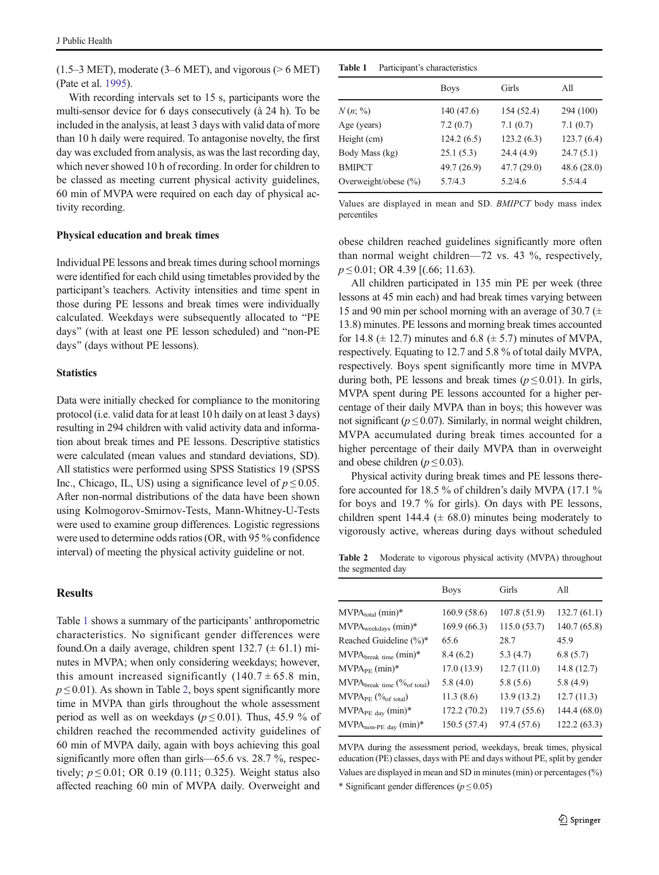<span id="page-2-0"></span> $(1.5-3 \text{ MET})$ , moderate  $(3-6 \text{ MET})$ , and vigorous ( $> 6 \text{ MET}$ ) (Pate et al. [1995](#page-6-0)).

With recording intervals set to 15 s, participants wore the multi-sensor device for 6 days consecutively (à 24 h). To be included in the analysis, at least 3 days with valid data of more than 10 h daily were required. To antagonise novelty, the first day was excluded from analysis, as was the last recording day, which never showed 10 h of recording. In order for children to be classed as meeting current physical activity guidelines, 60 min of MVPA were required on each day of physical activity recording.

#### Physical education and break times

Individual PE lessons and break times during school mornings were identified for each child using timetables provided by the participant's teachers. Activity intensities and time spent in those during PE lessons and break times were individually calculated. Weekdays were subsequently allocated to "PE days" (with at least one PE lesson scheduled) and "non-PE days" (days without PE lessons).

#### **Statistics**

Data were initially checked for compliance to the monitoring protocol (i.e. valid data for at least 10 h daily on at least 3 days) resulting in 294 children with valid activity data and information about break times and PE lessons. Descriptive statistics were calculated (mean values and standard deviations, SD). All statistics were performed using SPSS Statistics 19 (SPSS Inc., Chicago, IL, US) using a significance level of  $p \le 0.05$ . After non-normal distributions of the data have been shown using Kolmogorov-Smirnov-Tests, Mann-Whitney-U-Tests were used to examine group differences. Logistic regressions were used to determine odds ratios (OR, with 95 % confidence interval) of meeting the physical activity guideline or not.

# Results

Table 1 shows a summary of the participants' anthropometric characteristics. No significant gender differences were found. On a daily average, children spent  $132.7 \ (\pm 61.1) \ \text{mi}$ nutes in MVPA; when only considering weekdays; however, this amount increased significantly  $(140.7 \pm 65.8 \text{ min},$  $p \le 0.01$ ). As shown in Table 2, boys spent significantly more time in MVPA than girls throughout the whole assessment period as well as on weekdays ( $p \le 0.01$ ). Thus, 45.9 % of children reached the recommended activity guidelines of 60 min of MVPA daily, again with boys achieving this goal significantly more often than girls—65.6 vs. 28.7 %, respectively;  $p ≤ 0.01$ ; OR 0.19 (0.111; 0.325). Weight status also affected reaching 60 min of MVPA daily. Overweight and

Table 1 Participant's characteristics

|                          | <b>Boys</b> | Girls       | All        |
|--------------------------|-------------|-------------|------------|
| N(n; % )                 | 140(47.6)   | 154 (52.4)  | 294 (100)  |
| Age (years)              | 7.2(0.7)    | 7.1(0.7)    | 7.1(0.7)   |
| Height (cm)              | 124.2(6.5)  | 123.2(6.3)  | 123.7(6.4) |
| Body Mass (kg)           | 25.1(5.3)   | 24.4(4.9)   | 24.7(5.1)  |
| <b>BMIPCT</b>            | 49.7 (26.9) | 47.7 (29.0) | 48.6(28.0) |
| Overweight/obese $(\% )$ | 5.7/4.3     | 5.2/4.6     | 5.5/4.4    |

Values are displayed in mean and SD. BMIPCT body mass index percentiles

obese children reached guidelines significantly more often than normal weight children—72 vs. 43 %, respectively,  $p \le 0.01$ ; OR 4.39 [(.66; 11.63).

All children participated in 135 min PE per week (three lessons at 45 min each) and had break times varying between 15 and 90 min per school morning with an average of 30.7 ( $\pm$ 13.8) minutes. PE lessons and morning break times accounted for 14.8 ( $\pm$  12.7) minutes and 6.8 ( $\pm$  5.7) minutes of MVPA, respectively. Equating to 12.7 and 5.8 % of total daily MVPA, respectively. Boys spent significantly more time in MVPA during both, PE lessons and break times ( $p \le 0.01$ ). In girls, MVPA spent during PE lessons accounted for a higher percentage of their daily MVPA than in boys; this however was not significant ( $p \le 0.07$ ). Similarly, in normal weight children, MVPA accumulated during break times accounted for a higher percentage of their daily MVPA than in overweight and obese children ( $p \le 0.03$ ).

Physical activity during break times and PE lessons therefore accounted for 18.5 % of children's daily MVPA (17.1 % for boys and 19.7 % for girls). On days with PE lessons, children spent 144.4 ( $\pm$  68.0) minutes being moderately to vigorously active, whereas during days without scheduled

Table 2 Moderate to vigorous physical activity (MVPA) throughout the segmented day

|                                                  | <b>Boys</b>  | Girls        | $A$ ll       |
|--------------------------------------------------|--------------|--------------|--------------|
| $MVPAtotal$ (min)*                               | 160.9(58.6)  | 107.8 (51.9) | 132.7(61.1)  |
| $MVPA_{\text{weekdays}}$ (min)*                  | 169.9 (66.3) | 115.0(53.7)  | 140.7 (65.8) |
| Reached Guideline (%)*                           | 65.6         | 28.7         | 45.9         |
| $MVPAbreak time$ (min)*                          | 8.4(6.2)     | 5.3(4.7)     | 6.8(5.7)     |
| $MVPA_{PE}$ (min)*                               | 17.0(13.9)   | 12.7(11.0)   | 14.8(12.7)   |
| $MVPA_{break time}$ ( $\%$ <sub>of total</sub> ) | 5.8(4.0)     | 5.8(5.6)     | 5.8(4.9)     |
| $MVPA_{PE}$ ( $\%$ <sub>of total</sub> )         | 11.3(8.6)    | 13.9(13.2)   | 12.7(11.3)   |
| MVPA <sub>PE day</sub> (min)*                    | 172.2 (70.2) | 119.7 (55.6) | 144.4 (68.0) |
| $MVPA_{non-PE~day}$ (min)*                       | 150.5 (57.4) | 97.4 (57.6)  | 122.2 (63.3) |
|                                                  |              |              |              |

MVPA during the assessment period, weekdays, break times, physical education (PE) classes, days with PE and days without PE, split by gender Values are displayed in mean and SD in minutes (min) or percentages (%)

\* Significant gender differences ( $p \le 0.05$ )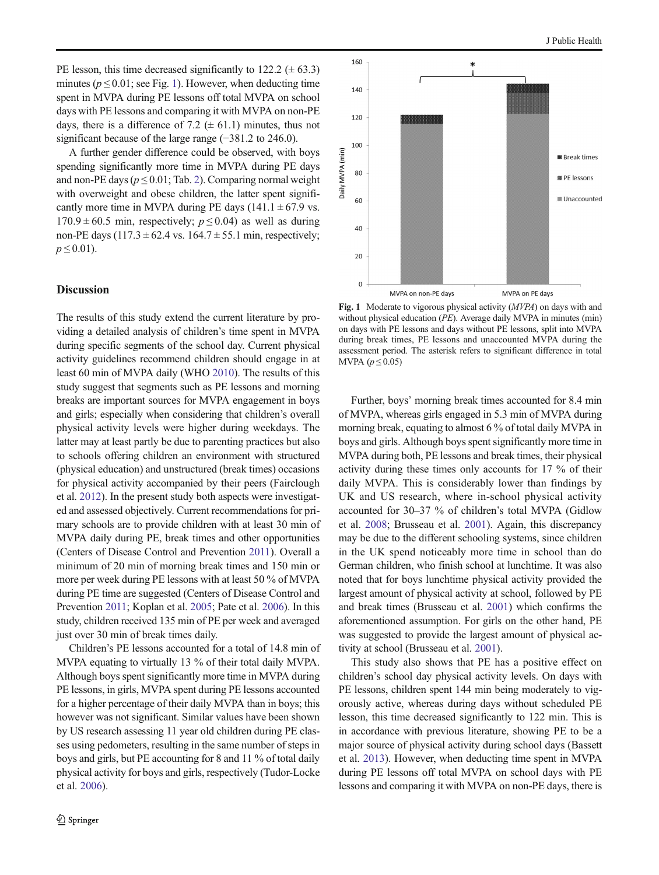PE lesson, this time decreased significantly to  $122.2 \ (\pm 63.3)$ minutes ( $p \le 0.01$ ; see Fig. 1). However, when deducting time spent in MVPA during PE lessons off total MVPA on school days with PE lessons and comparing it with MVPA on non-PE days, there is a difference of 7.2 ( $\pm$  61.1) minutes, thus not significant because of the large range (−381.2 to 246.0).

A further gender difference could be observed, with boys spending significantly more time in MVPA during PE days and non-PE days ( $p \le 0.01$ ; Tab. [2](#page-2-0)). Comparing normal weight with overweight and obese children, the latter spent significantly more time in MVPA during PE days  $(141.1 \pm 67.9 \text{ vs.}$  $170.9 \pm 60.5$  min, respectively;  $p \le 0.04$ ) as well as during non-PE days (117.3  $\pm$  62.4 vs. 164.7  $\pm$  55.1 min, respectively;  $p \le 0.01$ ).

## Discussion

The results of this study extend the current literature by providing a detailed analysis of children's time spent in MVPA during specific segments of the school day. Current physical activity guidelines recommend children should engage in at least 60 min of MVPA daily (WHO [2010\)](#page-6-0). The results of this study suggest that segments such as PE lessons and morning breaks are important sources for MVPA engagement in boys and girls; especially when considering that children's overall physical activity levels were higher during weekdays. The latter may at least partly be due to parenting practices but also to schools offering children an environment with structured (physical education) and unstructured (break times) occasions for physical activity accompanied by their peers (Fairclough et al. [2012\)](#page-5-0). In the present study both aspects were investigated and assessed objectively. Current recommendations for primary schools are to provide children with at least 30 min of MVPA daily during PE, break times and other opportunities (Centers of Disease Control and Prevention [2011](#page-5-0)). Overall a minimum of 20 min of morning break times and 150 min or more per week during PE lessons with at least 50 % of MVPA during PE time are suggested (Centers of Disease Control and Prevention [2011;](#page-5-0) Koplan et al. [2005;](#page-5-0) Pate et al. [2006\)](#page-6-0). In this study, children received 135 min of PE per week and averaged just over 30 min of break times daily.

Children's PE lessons accounted for a total of 14.8 min of MVPA equating to virtually 13 % of their total daily MVPA. Although boys spent significantly more time in MVPA during PE lessons, in girls, MVPA spent during PE lessons accounted for a higher percentage of their daily MVPA than in boys; this however was not significant. Similar values have been shown by US research assessing 11 year old children during PE classes using pedometers, resulting in the same number of steps in boys and girls, but PE accounting for 8 and 11 % of total daily physical activity for boys and girls, respectively (Tudor-Locke et al. [2006](#page-6-0)).



Fig. 1 Moderate to vigorous physical activity (MVPA) on days with and without physical education *(PE)*. Average daily MVPA in minutes *(min)* on days with PE lessons and days without PE lessons, split into MVPA during break times, PE lessons and unaccounted MVPA during the assessment period. The asterisk refers to significant difference in total MVPA  $(p \leq 0.05)$ 

Further, boys' morning break times accounted for 8.4 min of MVPA, whereas girls engaged in 5.3 min of MVPA during morning break, equating to almost 6 % of total daily MVPA in boys and girls. Although boys spent significantly more time in MVPA during both, PE lessons and break times, their physical activity during these times only accounts for 17 % of their daily MVPA. This is considerably lower than findings by UK and US research, where in-school physical activity accounted for 30–37 % of children's total MVPA (Gidlow et al. [2008;](#page-5-0) Brusseau et al. [2001\)](#page-5-0). Again, this discrepancy may be due to the different schooling systems, since children in the UK spend noticeably more time in school than do German children, who finish school at lunchtime. It was also noted that for boys lunchtime physical activity provided the largest amount of physical activity at school, followed by PE and break times (Brusseau et al. [2001\)](#page-5-0) which confirms the aforementioned assumption. For girls on the other hand, PE was suggested to provide the largest amount of physical activity at school (Brusseau et al. [2001\)](#page-5-0).

This study also shows that PE has a positive effect on children's school day physical activity levels. On days with PE lessons, children spent 144 min being moderately to vigorously active, whereas during days without scheduled PE lesson, this time decreased significantly to 122 min. This is in accordance with previous literature, showing PE to be a major source of physical activity during school days (Bassett et al. [2013\)](#page-5-0). However, when deducting time spent in MVPA during PE lessons off total MVPA on school days with PE lessons and comparing it with MVPA on non-PE days, there is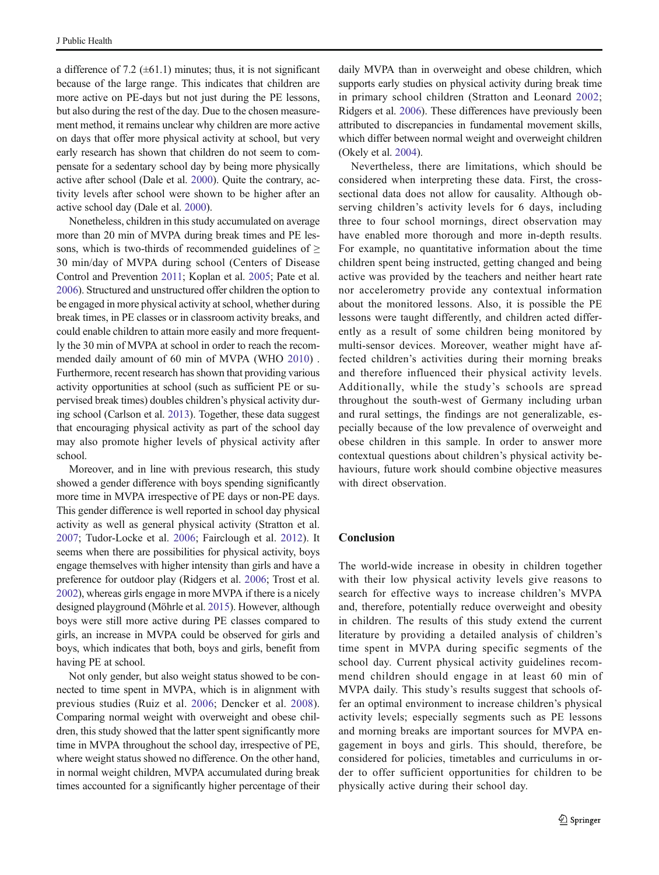a difference of 7.2 ( $\pm$ 61.1) minutes; thus, it is not significant because of the large range. This indicates that children are more active on PE-days but not just during the PE lessons, but also during the rest of the day. Due to the chosen measurement method, it remains unclear why children are more active on days that offer more physical activity at school, but very early research has shown that children do not seem to compensate for a sedentary school day by being more physically active after school (Dale et al. [2000](#page-5-0)). Quite the contrary, activity levels after school were shown to be higher after an active school day (Dale et al. [2000](#page-5-0)).

Nonetheless, children in this study accumulated on average more than 20 min of MVPA during break times and PE lessons, which is two-thirds of recommended guidelines of  $\geq$ 30 min/day of MVPA during school (Centers of Disease Control and Prevention [2011](#page-5-0); Koplan et al. [2005](#page-5-0); Pate et al. [2006\)](#page-6-0). Structured and unstructured offer children the option to be engaged in more physical activity at school, whether during break times, in PE classes or in classroom activity breaks, and could enable children to attain more easily and more frequently the 30 min of MVPA at school in order to reach the recommended daily amount of 60 min of MVPA (WHO [2010\)](#page-6-0) . Furthermore, recent research has shown that providing various activity opportunities at school (such as sufficient PE or supervised break times) doubles children's physical activity during school (Carlson et al. [2013](#page-5-0)). Together, these data suggest that encouraging physical activity as part of the school day may also promote higher levels of physical activity after school.

Moreover, and in line with previous research, this study showed a gender difference with boys spending significantly more time in MVPA irrespective of PE days or non-PE days. This gender difference is well reported in school day physical activity as well as general physical activity (Stratton et al. [2007;](#page-6-0) Tudor-Locke et al. [2006;](#page-6-0) Fairclough et al. [2012\)](#page-5-0). It seems when there are possibilities for physical activity, boys engage themselves with higher intensity than girls and have a preference for outdoor play (Ridgers et al. [2006;](#page-6-0) Trost et al. [2002\)](#page-6-0), whereas girls engage in more MVPA if there is a nicely designed playground (Möhrle et al. [2015\)](#page-6-0). However, although boys were still more active during PE classes compared to girls, an increase in MVPA could be observed for girls and boys, which indicates that both, boys and girls, benefit from having PE at school.

Not only gender, but also weight status showed to be connected to time spent in MVPA, which is in alignment with previous studies (Ruiz et al. [2006](#page-6-0); Dencker et al. [2008](#page-5-0)). Comparing normal weight with overweight and obese children, this study showed that the latter spent significantly more time in MVPA throughout the school day, irrespective of PE, where weight status showed no difference. On the other hand, in normal weight children, MVPA accumulated during break times accounted for a significantly higher percentage of their daily MVPA than in overweight and obese children, which supports early studies on physical activity during break time in primary school children (Stratton and Leonard [2002;](#page-6-0) Ridgers et al. [2006\)](#page-6-0). These differences have previously been attributed to discrepancies in fundamental movement skills, which differ between normal weight and overweight children (Okely et al. [2004\)](#page-6-0).

Nevertheless, there are limitations, which should be considered when interpreting these data. First, the crosssectional data does not allow for causality. Although observing children's activity levels for 6 days, including three to four school mornings, direct observation may have enabled more thorough and more in-depth results. For example, no quantitative information about the time children spent being instructed, getting changed and being active was provided by the teachers and neither heart rate nor accelerometry provide any contextual information about the monitored lessons. Also, it is possible the PE lessons were taught differently, and children acted differently as a result of some children being monitored by multi-sensor devices. Moreover, weather might have affected children's activities during their morning breaks and therefore influenced their physical activity levels. Additionally, while the study's schools are spread throughout the south-west of Germany including urban and rural settings, the findings are not generalizable, especially because of the low prevalence of overweight and obese children in this sample. In order to answer more contextual questions about children's physical activity behaviours, future work should combine objective measures with direct observation.

# **Conclusion**

The world-wide increase in obesity in children together with their low physical activity levels give reasons to search for effective ways to increase children's MVPA and, therefore, potentially reduce overweight and obesity in children. The results of this study extend the current literature by providing a detailed analysis of children's time spent in MVPA during specific segments of the school day. Current physical activity guidelines recommend children should engage in at least 60 min of MVPA daily. This study's results suggest that schools offer an optimal environment to increase children's physical activity levels; especially segments such as PE lessons and morning breaks are important sources for MVPA engagement in boys and girls. This should, therefore, be considered for policies, timetables and curriculums in order to offer sufficient opportunities for children to be physically active during their school day.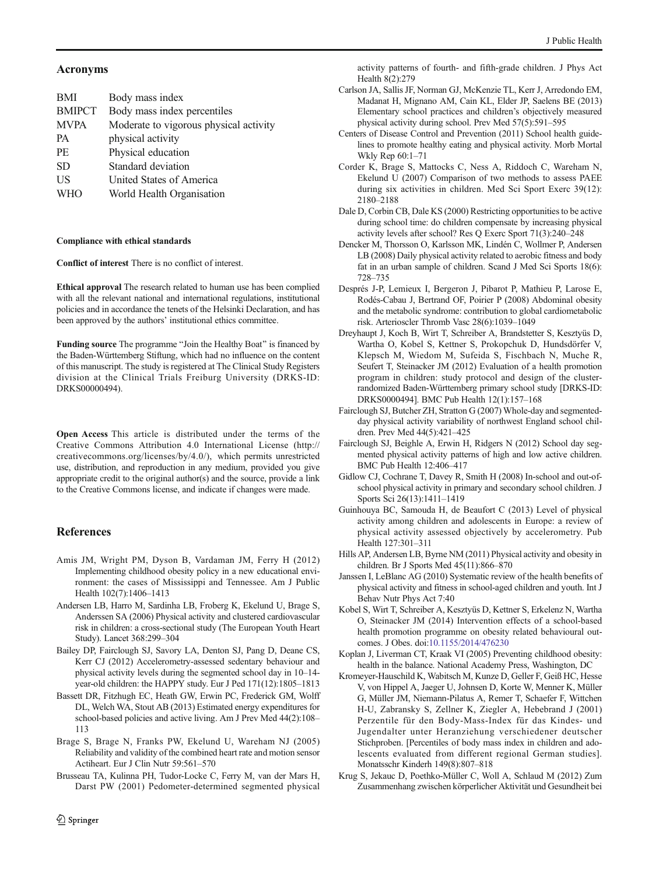## <span id="page-5-0"></span>Acronyms

| <b>BMI</b>    | Body mass index                        |
|---------------|----------------------------------------|
| <b>BMIPCT</b> | Body mass index percentiles            |
| <b>MVPA</b>   | Moderate to vigorous physical activity |
| <b>PA</b>     | physical activity                      |
| PF.           | Physical education                     |
| <b>SD</b>     | Standard deviation                     |
| US            | United States of America               |
| <b>WHO</b>    | World Health Organisation              |
|               |                                        |

#### Compliance with ethical standards

Conflict of interest There is no conflict of interest.

Ethical approval The research related to human use has been complied with all the relevant national and international regulations, institutional policies and in accordance the tenets of the Helsinki Declaration, and has been approved by the authors' institutional ethics committee.

Funding source The programme "Join the Healthy Boat" is financed by the Baden-Württemberg Stiftung, which had no influence on the content of this manuscript. The study is registered at The Clinical Study Registers division at the Clinical Trials Freiburg University (DRKS-ID: DRKS00000494).

Open Access This article is distributed under the terms of the Creative Commons Attribution 4.0 International License (http:// creativecommons.org/licenses/by/4.0/), which permits unrestricted use, distribution, and reproduction in any medium, provided you give appropriate credit to the original author(s) and the source, provide a link to the Creative Commons license, and indicate if changes were made.

# References

- Amis JM, Wright PM, Dyson B, Vardaman JM, Ferry H (2012) Implementing childhood obesity policy in a new educational environment: the cases of Mississippi and Tennessee. Am J Public Health 102(7):1406–1413
- Andersen LB, Harro M, Sardinha LB, Froberg K, Ekelund U, Brage S, Anderssen SA (2006) Physical activity and clustered cardiovascular risk in children: a cross-sectional study (The European Youth Heart Study). Lancet 368:299–304
- Bailey DP, Fairclough SJ, Savory LA, Denton SJ, Pang D, Deane CS, Kerr CJ (2012) Accelerometry-assessed sedentary behaviour and physical activity levels during the segmented school day in 10–14 year-old children: the HAPPY study. Eur J Ped 171(12):1805–1813
- Bassett DR, Fitzhugh EC, Heath GW, Erwin PC, Frederick GM, Wolff DL, Welch WA, Stout AB (2013) Estimated energy expenditures for school-based policies and active living. Am J Prev Med 44(2):108– 113
- Brage S, Brage N, Franks PW, Ekelund U, Wareham NJ (2005) Reliability and validity of the combined heart rate and motion sensor Actiheart. Eur J Clin Nutr 59:561–570
- Brusseau TA, Kulinna PH, Tudor-Locke C, Ferry M, van der Mars H, Darst PW (2001) Pedometer-determined segmented physical

activity patterns of fourth- and fifth-grade children. J Phys Act Health 8(2):279

- Carlson JA, Sallis JF, Norman GJ, McKenzie TL, Kerr J, Arredondo EM, Madanat H, Mignano AM, Cain KL, Elder JP, Saelens BE (2013) Elementary school practices and children's objectively measured physical activity during school. Prev Med 57(5):591–595
- Centers of Disease Control and Prevention (2011) School health guidelines to promote healthy eating and physical activity. Morb Mortal Wkly Rep 60:1–71
- Corder K, Brage S, Mattocks C, Ness A, Riddoch C, Wareham N, Ekelund U (2007) Comparison of two methods to assess PAEE during six activities in children. Med Sci Sport Exerc 39(12): 2180–2188
- Dale D, Corbin CB, Dale KS (2000) Restricting opportunities to be active during school time: do children compensate by increasing physical activity levels after school? Res Q Exerc Sport 71(3):240–248
- Dencker M, Thorsson O, Karlsson MK, Lindén C, Wollmer P, Andersen LB (2008) Daily physical activity related to aerobic fitness and body fat in an urban sample of children. Scand J Med Sci Sports 18(6): 728–735
- Després J-P, Lemieux I, Bergeron J, Pibarot P, Mathieu P, Larose E, Rodés-Cabau J, Bertrand OF, Poirier P (2008) Abdominal obesity and the metabolic syndrome: contribution to global cardiometabolic risk. Arterioscler Thromb Vasc 28(6):1039–1049
- Dreyhaupt J, Koch B, Wirt T, Schreiber A, Brandstetter S, Kesztyüs D, Wartha O, Kobel S, Kettner S, Prokopchuk D, Hundsdörfer V, Klepsch M, Wiedom M, Sufeida S, Fischbach N, Muche R, Seufert T, Steinacker JM (2012) Evaluation of a health promotion program in children: study protocol and design of the clusterrandomized Baden-Württemberg primary school study [DRKS-ID: DRKS0000494]. BMC Pub Health 12(1):157–168
- Fairclough SJ, Butcher ZH, Stratton G (2007) Whole-day and segmentedday physical activity variability of northwest England school children. Prev Med 44(5):421–425
- Fairclough SJ, Beighle A, Erwin H, Ridgers N (2012) School day segmented physical activity patterns of high and low active children. BMC Pub Health 12:406–417
- Gidlow CJ, Cochrane T, Davey R, Smith H (2008) In-school and out-ofschool physical activity in primary and secondary school children. J Sports Sci 26(13):1411–1419
- Guinhouya BC, Samouda H, de Beaufort C (2013) Level of physical activity among children and adolescents in Europe: a review of physical activity assessed objectively by accelerometry. Pub Health 127:301–311
- Hills AP, Andersen LB, Byrne NM (2011) Physical activity and obesity in children. Br J Sports Med 45(11):866–870
- Janssen I, LeBlanc AG (2010) Systematic review of the health benefits of physical activity and fitness in school-aged children and youth. Int J Behav Nutr Phys Act 7:40
- Kobel S, Wirt T, Schreiber A, Kesztyüs D, Kettner S, Erkelenz N, Wartha O, Steinacker JM (2014) Intervention effects of a school-based health promotion programme on obesity related behavioural outcomes. J Obes. doi:[10.1155/2014/476230](http://dx.doi.org/10.1155/2014/476230)
- Koplan J, Liverman CT, Kraak VI (2005) Preventing childhood obesity: health in the balance. National Academy Press, Washington, DC
- Kromeyer-Hauschild K, Wabitsch M, Kunze D, Geller F, Geiß HC, Hesse V, von Hippel A, Jaeger U, Johnsen D, Korte W, Menner K, Müller G, Müller JM, Niemann-Pilatus A, Remer T, Schaefer F, Wittchen H-U, Zabransky S, Zellner K, Ziegler A, Hebebrand J (2001) Perzentile für den Body-Mass-Index für das Kindes- und Jugendalter unter Heranziehung verschiedener deutscher Stichproben. [Percentiles of body mass index in children and adolescents evaluated from different regional German studies]. Monatsschr Kinderh 149(8):807–818
- Krug S, Jekauc D, Poethko-Müller C, Woll A, Schlaud M (2012) Zum Zusammenhang zwischen körperlicher Aktivität und Gesundheit bei